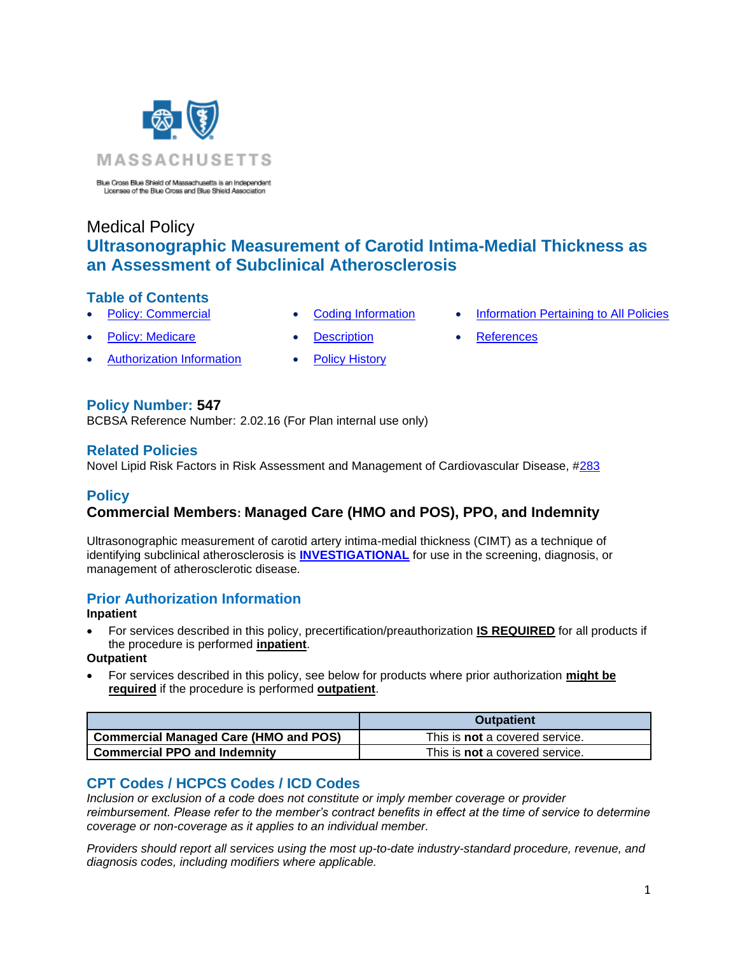

Blue Cross Blue Shield of Massachusetts is an Independent Licensee of the Blue Cross and Blue Shield Association

# Medical Policy **Ultrasonographic Measurement of Carotid Intima-Medial Thickness as an Assessment of Subclinical Atherosclerosis**

## **Table of Contents**

- 
- 
- **Policy: Medicare [Description](#page-1-0) [References](#page-2-1)**
- [Authorization Information](#page-0-2) [Policy History](#page-2-2)
- 
- **[Policy: Commercial](#page-0-0) [Coding Information](#page-0-1) [Information Pertaining to All Policies](#page-2-0)** 
	-

# **Policy Number: 547**

BCBSA Reference Number: 2.02.16 (For Plan internal use only)

## **Related Policies**

<span id="page-0-0"></span>Novel Lipid Risk Factors in Risk Assessment and Management of Cardiovascular Disease, #283

# **Policy**

# **Commercial Members: Managed Care (HMO and POS), PPO, and Indemnity**

Ultrasonographic measurement of carotid artery intima-medial thickness (CIMT) as a technique of identifying subclinical atherosclerosis is **[INVESTIGATIONAL](https://www.bluecrossma.org/medical-policies/sites/g/files/csphws2091/files/acquiadam-assets/Definition%20of%20Med%20Nec%20Inv%20Not%20Med%20Nec%20prn.pdf#page=1)** for use in the screening, diagnosis, or management of atherosclerotic disease.

# <span id="page-0-2"></span>**Prior Authorization Information**

#### **Inpatient**

• For services described in this policy, precertification/preauthorization **IS REQUIRED** for all products if the procedure is performed **inpatient**.

#### **Outpatient**

• For services described in this policy, see below for products where prior authorization **might be required** if the procedure is performed **outpatient**.

|                                              | <b>Outpatient</b>                     |
|----------------------------------------------|---------------------------------------|
| <b>Commercial Managed Care (HMO and POS)</b> | This is <b>not</b> a covered service. |
| <b>Commercial PPO and Indemnity</b>          | This is <b>not</b> a covered service. |

# <span id="page-0-1"></span>**CPT Codes / HCPCS Codes / ICD Codes**

*Inclusion or exclusion of a code does not constitute or imply member coverage or provider reimbursement. Please refer to the member's contract benefits in effect at the time of service to determine coverage or non-coverage as it applies to an individual member.*

*Providers should report all services using the most up-to-date industry-standard procedure, revenue, and diagnosis codes, including modifiers where applicable.*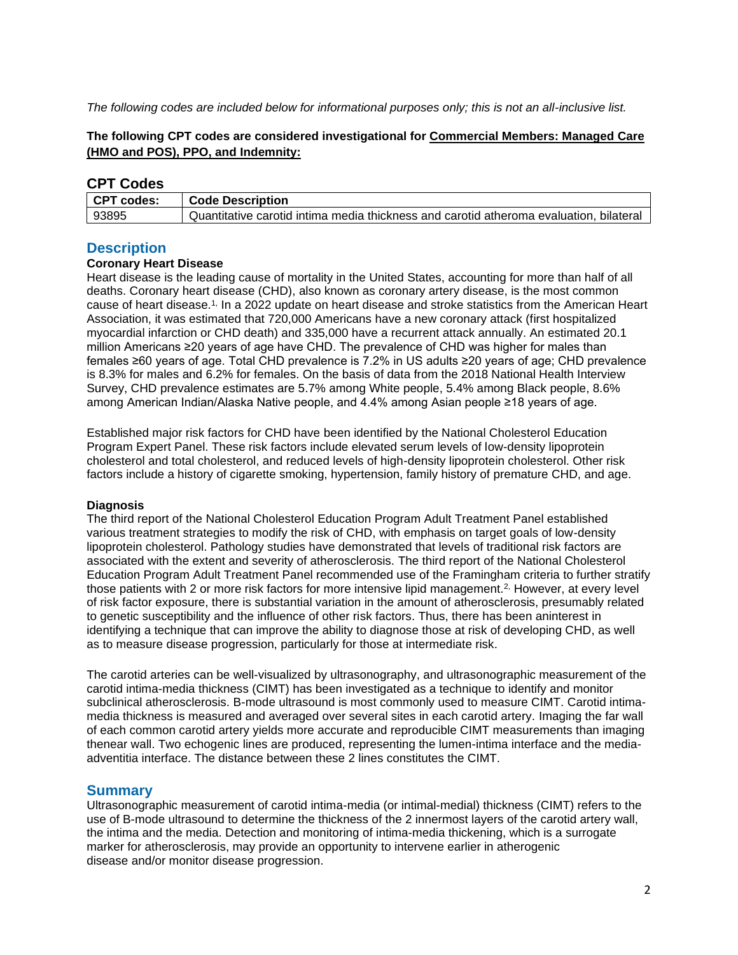*The following codes are included below for informational purposes only; this is not an all-inclusive list.*

### **The following CPT codes are considered investigational for Commercial Members: Managed Care (HMO and POS), PPO, and Indemnity:**

## **CPT Codes**

| CPT codes: | <b>Code Description</b>                                                                |
|------------|----------------------------------------------------------------------------------------|
| 93895      | Quantitative carotid intima media thickness and carotid atheroma evaluation, bilateral |

## <span id="page-1-0"></span>**Description**

#### **Coronary Heart Disease**

Heart disease is the leading cause of mortality in the United States, accounting for more than half of all deaths. Coronary heart disease (CHD), also known as coronary artery disease, is the most common cause of heart disease.1, In a 2022 update on heart disease and stroke statistics from the American Heart Association, it was estimated that 720,000 Americans have a new coronary attack (first hospitalized myocardial infarction or CHD death) and 335,000 have a recurrent attack annually. An estimated 20.1 million Americans ≥20 years of age have CHD. The prevalence of CHD was higher for males than females ≥60 years of age. Total CHD prevalence is 7.2% in US adults ≥20 years of age; CHD prevalence is 8.3% for males and 6.2% for females. On the basis of data from the 2018 National Health Interview Survey, CHD prevalence estimates are 5.7% among White people, 5.4% among Black people, 8.6% among American Indian/Alaska Native people, and 4.4% among Asian people ≥18 years of age.

Established major risk factors for CHD have been identified by the National Cholesterol Education Program Expert Panel. These risk factors include elevated serum levels of low-density lipoprotein cholesterol and total cholesterol, and reduced levels of high-density lipoprotein cholesterol. Other risk factors include a history of cigarette smoking, hypertension, family history of premature CHD, and age.

#### **Diagnosis**

The third report of the National Cholesterol Education Program Adult Treatment Panel established various treatment strategies to modify the risk of CHD, with emphasis on target goals of low-density lipoprotein cholesterol. Pathology studies have demonstrated that levels of traditional risk factors are associated with the extent and severity of atherosclerosis. The third report of the National Cholesterol Education Program Adult Treatment Panel recommended use of the Framingham criteria to further stratify those patients with 2 or more risk factors for more intensive lipid management.<sup>2</sup> However, at every level of risk factor exposure, there is substantial variation in the amount of atherosclerosis, presumably related to genetic susceptibility and the influence of other risk factors. Thus, there has been aninterest in identifying a technique that can improve the ability to diagnose those at risk of developing CHD, as well as to measure disease progression, particularly for those at intermediate risk.

The carotid arteries can be well-visualized by ultrasonography, and ultrasonographic measurement of the carotid intima-media thickness (CIMT) has been investigated as a technique to identify and monitor subclinical atherosclerosis. B-mode ultrasound is most commonly used to measure CIMT. Carotid intimamedia thickness is measured and averaged over several sites in each carotid artery. Imaging the far wall of each common carotid artery yields more accurate and reproducible CIMT measurements than imaging thenear wall. Two echogenic lines are produced, representing the lumen-intima interface and the mediaadventitia interface. The distance between these 2 lines constitutes the CIMT.

# **Summary**

Ultrasonographic measurement of carotid intima-media (or intimal-medial) thickness (CIMT) refers to the use of B-mode ultrasound to determine the thickness of the 2 innermost layers of the carotid artery wall, the intima and the media. Detection and monitoring of intima-media thickening, which is a surrogate marker for atherosclerosis, may provide an opportunity to intervene earlier in atherogenic disease and/or monitor disease progression.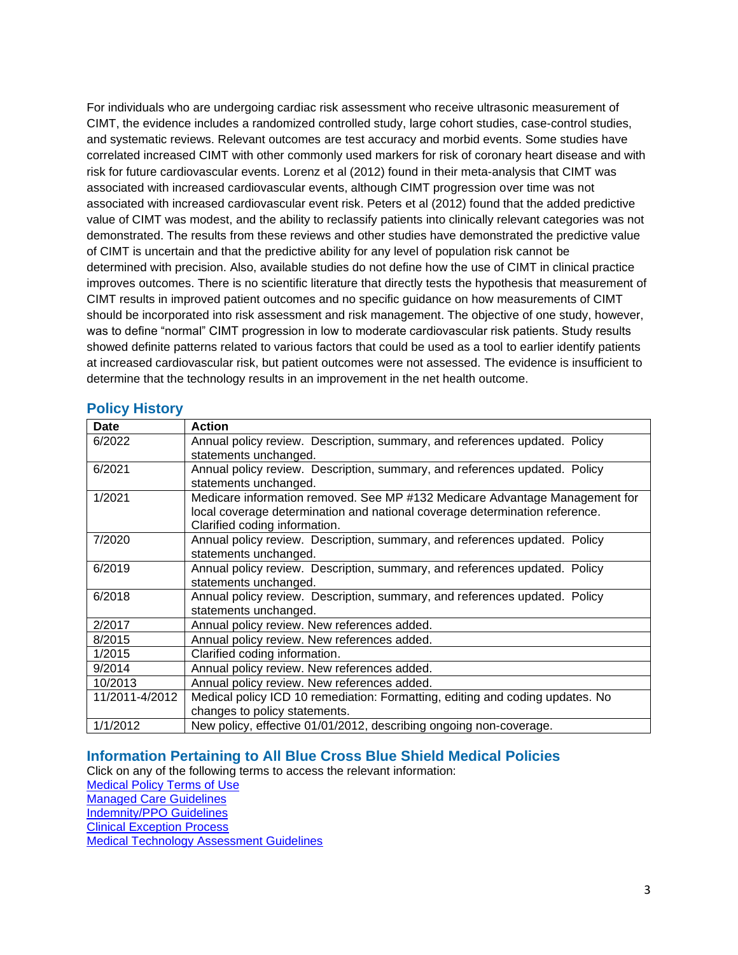For individuals who are undergoing cardiac risk assessment who receive ultrasonic measurement of CIMT, the evidence includes a randomized controlled study, large cohort studies, case-control studies, and systematic reviews. Relevant outcomes are test accuracy and morbid events. Some studies have correlated increased CIMT with other commonly used markers for risk of coronary heart disease and with risk for future cardiovascular events. Lorenz et al (2012) found in their meta-analysis that CIMT was associated with increased cardiovascular events, although CIMT progression over time was not associated with increased cardiovascular event risk. Peters et al (2012) found that the added predictive value of CIMT was modest, and the ability to reclassify patients into clinically relevant categories was not demonstrated. The results from these reviews and other studies have demonstrated the predictive value of CIMT is uncertain and that the predictive ability for any level of population risk cannot be determined with precision. Also, available studies do not define how the use of CIMT in clinical practice improves outcomes. There is no scientific literature that directly tests the hypothesis that measurement of CIMT results in improved patient outcomes and no specific guidance on how measurements of CIMT should be incorporated into risk assessment and risk management. The objective of one study, however, was to define "normal" CIMT progression in low to moderate cardiovascular risk patients. Study results showed definite patterns related to various factors that could be used as a tool to earlier identify patients at increased cardiovascular risk, but patient outcomes were not assessed. The evidence is insufficient to determine that the technology results in an improvement in the net health outcome.

# <span id="page-2-2"></span>**Policy History**

| Date           | <b>Action</b>                                                                 |
|----------------|-------------------------------------------------------------------------------|
| 6/2022         | Annual policy review. Description, summary, and references updated. Policy    |
|                | statements unchanged.                                                         |
| 6/2021         | Annual policy review. Description, summary, and references updated. Policy    |
|                | statements unchanged.                                                         |
| 1/2021         | Medicare information removed. See MP #132 Medicare Advantage Management for   |
|                | local coverage determination and national coverage determination reference.   |
|                | Clarified coding information.                                                 |
| 7/2020         | Annual policy review. Description, summary, and references updated. Policy    |
|                | statements unchanged.                                                         |
| 6/2019         | Annual policy review. Description, summary, and references updated. Policy    |
|                | statements unchanged.                                                         |
| 6/2018         | Annual policy review. Description, summary, and references updated. Policy    |
|                | statements unchanged.                                                         |
| 2/2017         | Annual policy review. New references added.                                   |
| 8/2015         | Annual policy review. New references added.                                   |
| 1/2015         | Clarified coding information.                                                 |
| 9/2014         | Annual policy review. New references added.                                   |
| 10/2013        | Annual policy review. New references added.                                   |
| 11/2011-4/2012 | Medical policy ICD 10 remediation: Formatting, editing and coding updates. No |
|                | changes to policy statements.                                                 |
| 1/1/2012       | New policy, effective 01/01/2012, describing ongoing non-coverage.            |

## <span id="page-2-0"></span>**Information Pertaining to All Blue Cross Blue Shield Medical Policies**

<span id="page-2-1"></span>Click on any of the following terms to access the relevant information: [Medical Policy Terms of Use](http://www.bluecrossma.org/medical-policies/sites/g/files/csphws2091/files/acquiadam-assets/Medical_Policy_Terms_of_Use_prn.pdf) [Managed Care Guidelines](http://www.bluecrossma.org/medical-policies/sites/g/files/csphws2091/files/acquiadam-assets/Managed_Care_Guidelines_prn.pdf) [Indemnity/PPO Guidelines](http://www.bluecrossma.org/medical-policies/sites/g/files/csphws2091/files/acquiadam-assets/Indemnity_and_PPO_Guidelines_prn.pdf) [Clinical Exception Process](http://www.bluecrossma.org/medical-policies/sites/g/files/csphws2091/files/acquiadam-assets/Clinical_Exception_Process_prn.pdf) [Medical Technology Assessment Guidelines](http://www.bluecrossma.org/medical-policies/sites/g/files/csphws2091/files/acquiadam-assets/Medical_Technology_Assessment_Guidelines_prn.pdf)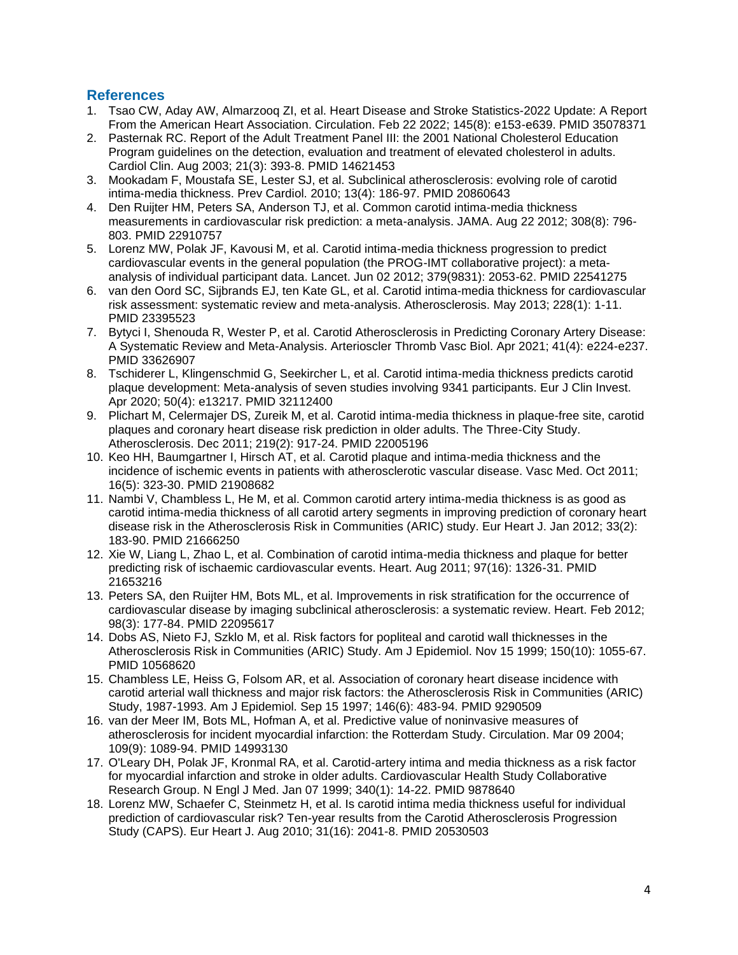## **References**

- 1. Tsao CW, Aday AW, Almarzooq ZI, et al. Heart Disease and Stroke Statistics-2022 Update: A Report From the American Heart Association. Circulation. Feb 22 2022; 145(8): e153-e639. PMID 35078371
- 2. Pasternak RC. Report of the Adult Treatment Panel III: the 2001 National Cholesterol Education Program guidelines on the detection, evaluation and treatment of elevated cholesterol in adults. Cardiol Clin. Aug 2003; 21(3): 393-8. PMID 14621453
- 3. Mookadam F, Moustafa SE, Lester SJ, et al. Subclinical atherosclerosis: evolving role of carotid intima-media thickness. Prev Cardiol. 2010; 13(4): 186-97. PMID 20860643
- 4. Den Ruijter HM, Peters SA, Anderson TJ, et al. Common carotid intima-media thickness measurements in cardiovascular risk prediction: a meta-analysis. JAMA. Aug 22 2012; 308(8): 796- 803. PMID 22910757
- 5. Lorenz MW, Polak JF, Kavousi M, et al. Carotid intima-media thickness progression to predict cardiovascular events in the general population (the PROG-IMT collaborative project): a metaanalysis of individual participant data. Lancet. Jun 02 2012; 379(9831): 2053-62. PMID 22541275
- 6. van den Oord SC, Sijbrands EJ, ten Kate GL, et al. Carotid intima-media thickness for cardiovascular risk assessment: systematic review and meta-analysis. Atherosclerosis. May 2013; 228(1): 1-11. PMID 23395523
- 7. Bytyci I, Shenouda R, Wester P, et al. Carotid Atherosclerosis in Predicting Coronary Artery Disease: A Systematic Review and Meta-Analysis. Arterioscler Thromb Vasc Biol. Apr 2021; 41(4): e224-e237. PMID 33626907
- 8. Tschiderer L, Klingenschmid G, Seekircher L, et al. Carotid intima-media thickness predicts carotid plaque development: Meta-analysis of seven studies involving 9341 participants. Eur J Clin Invest. Apr 2020; 50(4): e13217. PMID 32112400
- 9. Plichart M, Celermajer DS, Zureik M, et al. Carotid intima-media thickness in plaque-free site, carotid plaques and coronary heart disease risk prediction in older adults. The Three-City Study. Atherosclerosis. Dec 2011; 219(2): 917-24. PMID 22005196
- 10. Keo HH, Baumgartner I, Hirsch AT, et al. Carotid plaque and intima-media thickness and the incidence of ischemic events in patients with atherosclerotic vascular disease. Vasc Med. Oct 2011; 16(5): 323-30. PMID 21908682
- 11. Nambi V, Chambless L, He M, et al. Common carotid artery intima-media thickness is as good as carotid intima-media thickness of all carotid artery segments in improving prediction of coronary heart disease risk in the Atherosclerosis Risk in Communities (ARIC) study. Eur Heart J. Jan 2012; 33(2): 183-90. PMID 21666250
- 12. Xie W, Liang L, Zhao L, et al. Combination of carotid intima-media thickness and plaque for better predicting risk of ischaemic cardiovascular events. Heart. Aug 2011; 97(16): 1326-31. PMID 21653216
- 13. Peters SA, den Ruijter HM, Bots ML, et al. Improvements in risk stratification for the occurrence of cardiovascular disease by imaging subclinical atherosclerosis: a systematic review. Heart. Feb 2012; 98(3): 177-84. PMID 22095617
- 14. Dobs AS, Nieto FJ, Szklo M, et al. Risk factors for popliteal and carotid wall thicknesses in the Atherosclerosis Risk in Communities (ARIC) Study. Am J Epidemiol. Nov 15 1999; 150(10): 1055-67. PMID 10568620
- 15. Chambless LE, Heiss G, Folsom AR, et al. Association of coronary heart disease incidence with carotid arterial wall thickness and major risk factors: the Atherosclerosis Risk in Communities (ARIC) Study, 1987-1993. Am J Epidemiol. Sep 15 1997; 146(6): 483-94. PMID 9290509
- 16. van der Meer IM, Bots ML, Hofman A, et al. Predictive value of noninvasive measures of atherosclerosis for incident myocardial infarction: the Rotterdam Study. Circulation. Mar 09 2004; 109(9): 1089-94. PMID 14993130
- 17. O'Leary DH, Polak JF, Kronmal RA, et al. Carotid-artery intima and media thickness as a risk factor for myocardial infarction and stroke in older adults. Cardiovascular Health Study Collaborative Research Group. N Engl J Med. Jan 07 1999; 340(1): 14-22. PMID 9878640
- 18. Lorenz MW, Schaefer C, Steinmetz H, et al. Is carotid intima media thickness useful for individual prediction of cardiovascular risk? Ten-year results from the Carotid Atherosclerosis Progression Study (CAPS). Eur Heart J. Aug 2010; 31(16): 2041-8. PMID 20530503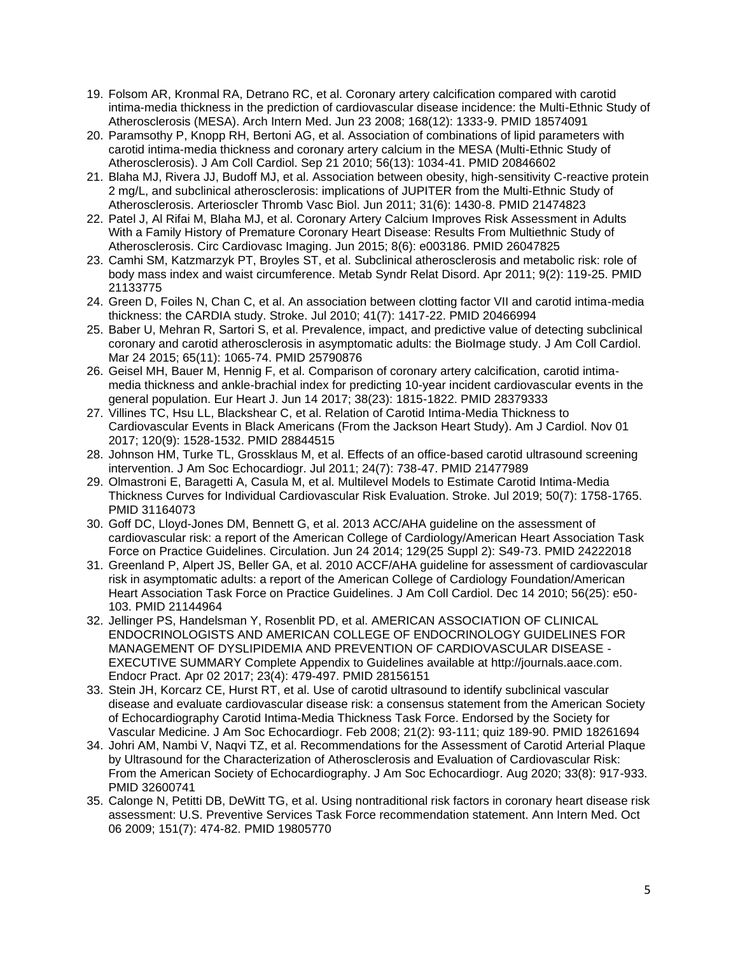- 19. Folsom AR, Kronmal RA, Detrano RC, et al. Coronary artery calcification compared with carotid intima-media thickness in the prediction of cardiovascular disease incidence: the Multi-Ethnic Study of Atherosclerosis (MESA). Arch Intern Med. Jun 23 2008; 168(12): 1333-9. PMID 18574091
- 20. Paramsothy P, Knopp RH, Bertoni AG, et al. Association of combinations of lipid parameters with carotid intima-media thickness and coronary artery calcium in the MESA (Multi-Ethnic Study of Atherosclerosis). J Am Coll Cardiol. Sep 21 2010; 56(13): 1034-41. PMID 20846602
- 21. Blaha MJ, Rivera JJ, Budoff MJ, et al. Association between obesity, high-sensitivity C-reactive protein 2 mg/L, and subclinical atherosclerosis: implications of JUPITER from the Multi-Ethnic Study of Atherosclerosis. Arterioscler Thromb Vasc Biol. Jun 2011; 31(6): 1430-8. PMID 21474823
- 22. Patel J, Al Rifai M, Blaha MJ, et al. Coronary Artery Calcium Improves Risk Assessment in Adults With a Family History of Premature Coronary Heart Disease: Results From Multiethnic Study of Atherosclerosis. Circ Cardiovasc Imaging. Jun 2015; 8(6): e003186. PMID 26047825
- 23. Camhi SM, Katzmarzyk PT, Broyles ST, et al. Subclinical atherosclerosis and metabolic risk: role of body mass index and waist circumference. Metab Syndr Relat Disord. Apr 2011; 9(2): 119-25. PMID 21133775
- 24. Green D, Foiles N, Chan C, et al. An association between clotting factor VII and carotid intima-media thickness: the CARDIA study. Stroke. Jul 2010; 41(7): 1417-22. PMID 20466994
- 25. Baber U, Mehran R, Sartori S, et al. Prevalence, impact, and predictive value of detecting subclinical coronary and carotid atherosclerosis in asymptomatic adults: the BioImage study. J Am Coll Cardiol. Mar 24 2015; 65(11): 1065-74. PMID 25790876
- 26. Geisel MH, Bauer M, Hennig F, et al. Comparison of coronary artery calcification, carotid intimamedia thickness and ankle-brachial index for predicting 10-year incident cardiovascular events in the general population. Eur Heart J. Jun 14 2017; 38(23): 1815-1822. PMID 28379333
- 27. Villines TC, Hsu LL, Blackshear C, et al. Relation of Carotid Intima-Media Thickness to Cardiovascular Events in Black Americans (From the Jackson Heart Study). Am J Cardiol. Nov 01 2017; 120(9): 1528-1532. PMID 28844515
- 28. Johnson HM, Turke TL, Grossklaus M, et al. Effects of an office-based carotid ultrasound screening intervention. J Am Soc Echocardiogr. Jul 2011; 24(7): 738-47. PMID 21477989
- 29. Olmastroni E, Baragetti A, Casula M, et al. Multilevel Models to Estimate Carotid Intima-Media Thickness Curves for Individual Cardiovascular Risk Evaluation. Stroke. Jul 2019; 50(7): 1758-1765. PMID 31164073
- 30. Goff DC, Lloyd-Jones DM, Bennett G, et al. 2013 ACC/AHA guideline on the assessment of cardiovascular risk: a report of the American College of Cardiology/American Heart Association Task Force on Practice Guidelines. Circulation. Jun 24 2014; 129(25 Suppl 2): S49-73. PMID 24222018
- 31. Greenland P, Alpert JS, Beller GA, et al. 2010 ACCF/AHA guideline for assessment of cardiovascular risk in asymptomatic adults: a report of the American College of Cardiology Foundation/American Heart Association Task Force on Practice Guidelines. J Am Coll Cardiol. Dec 14 2010; 56(25): e50- 103. PMID 21144964
- 32. Jellinger PS, Handelsman Y, Rosenblit PD, et al. AMERICAN ASSOCIATION OF CLINICAL ENDOCRINOLOGISTS AND AMERICAN COLLEGE OF ENDOCRINOLOGY GUIDELINES FOR MANAGEMENT OF DYSLIPIDEMIA AND PREVENTION OF CARDIOVASCULAR DISEASE - EXECUTIVE SUMMARY Complete Appendix to Guidelines available at http://journals.aace.com. Endocr Pract. Apr 02 2017; 23(4): 479-497. PMID 28156151
- 33. Stein JH, Korcarz CE, Hurst RT, et al. Use of carotid ultrasound to identify subclinical vascular disease and evaluate cardiovascular disease risk: a consensus statement from the American Society of Echocardiography Carotid Intima-Media Thickness Task Force. Endorsed by the Society for Vascular Medicine. J Am Soc Echocardiogr. Feb 2008; 21(2): 93-111; quiz 189-90. PMID 18261694
- 34. Johri AM, Nambi V, Naqvi TZ, et al. Recommendations for the Assessment of Carotid Arterial Plaque by Ultrasound for the Characterization of Atherosclerosis and Evaluation of Cardiovascular Risk: From the American Society of Echocardiography. J Am Soc Echocardiogr. Aug 2020; 33(8): 917-933. PMID 32600741
- 35. Calonge N, Petitti DB, DeWitt TG, et al. Using nontraditional risk factors in coronary heart disease risk assessment: U.S. Preventive Services Task Force recommendation statement. Ann Intern Med. Oct 06 2009; 151(7): 474-82. PMID 19805770